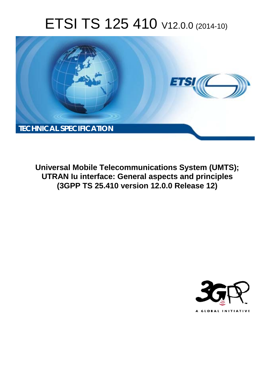# ETSI TS 125 410 V12.0.0 (2014-10)



**Universal Mobile Telecommunications System (UMTS); UTRAN Iu interface: General aspects and principles (3GPP TS 25.410 version 12.0.0 Release 12)** 

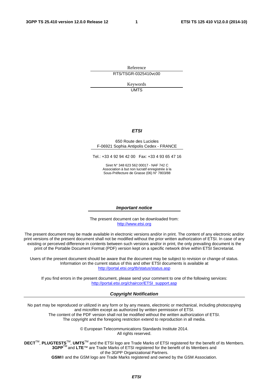Reference RTS/TSGR-0325410vc00

> Keywords UMTS

#### *ETSI*

#### 650 Route des Lucioles F-06921 Sophia Antipolis Cedex - FRANCE

Tel.: +33 4 92 94 42 00 Fax: +33 4 93 65 47 16

Siret N° 348 623 562 00017 - NAF 742 C Association à but non lucratif enregistrée à la Sous-Préfecture de Grasse (06) N° 7803/88

#### *Important notice*

The present document can be downloaded from: [http://www.etsi.org](http://www.etsi.org/)

The present document may be made available in electronic versions and/or in print. The content of any electronic and/or print versions of the present document shall not be modified without the prior written authorization of ETSI. In case of any existing or perceived difference in contents between such versions and/or in print, the only prevailing document is the print of the Portable Document Format (PDF) version kept on a specific network drive within ETSI Secretariat.

Users of the present document should be aware that the document may be subject to revision or change of status. Information on the current status of this and other ETSI documents is available at <http://portal.etsi.org/tb/status/status.asp>

If you find errors in the present document, please send your comment to one of the following services: [http://portal.etsi.org/chaircor/ETSI\\_support.asp](http://portal.etsi.org/chaircor/ETSI_support.asp)

#### *Copyright Notification*

No part may be reproduced or utilized in any form or by any means, electronic or mechanical, including photocopying and microfilm except as authorized by written permission of ETSI.

The content of the PDF version shall not be modified without the written authorization of ETSI. The copyright and the foregoing restriction extend to reproduction in all media.

> © European Telecommunications Standards Institute 2014. All rights reserved.

**DECT**TM, **PLUGTESTS**TM, **UMTS**TM and the ETSI logo are Trade Marks of ETSI registered for the benefit of its Members. **3GPP**TM and **LTE**™ are Trade Marks of ETSI registered for the benefit of its Members and of the 3GPP Organizational Partners.

**GSM**® and the GSM logo are Trade Marks registered and owned by the GSM Association.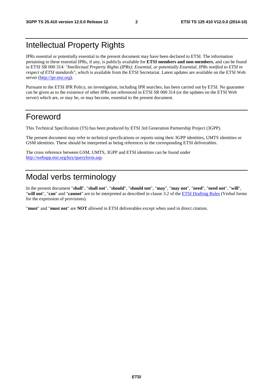# Intellectual Property Rights

IPRs essential or potentially essential to the present document may have been declared to ETSI. The information pertaining to these essential IPRs, if any, is publicly available for **ETSI members and non-members**, and can be found in ETSI SR 000 314: *"Intellectual Property Rights (IPRs); Essential, or potentially Essential, IPRs notified to ETSI in respect of ETSI standards"*, which is available from the ETSI Secretariat. Latest updates are available on the ETSI Web server ([http://ipr.etsi.org\)](http://webapp.etsi.org/IPR/home.asp).

Pursuant to the ETSI IPR Policy, no investigation, including IPR searches, has been carried out by ETSI. No guarantee can be given as to the existence of other IPRs not referenced in ETSI SR 000 314 (or the updates on the ETSI Web server) which are, or may be, or may become, essential to the present document.

# Foreword

This Technical Specification (TS) has been produced by ETSI 3rd Generation Partnership Project (3GPP).

The present document may refer to technical specifications or reports using their 3GPP identities, UMTS identities or GSM identities. These should be interpreted as being references to the corresponding ETSI deliverables.

The cross reference between GSM, UMTS, 3GPP and ETSI identities can be found under [http://webapp.etsi.org/key/queryform.asp.](http://webapp.etsi.org/key/queryform.asp)

# Modal verbs terminology

In the present document "**shall**", "**shall not**", "**should**", "**should not**", "**may**", "**may not**", "**need**", "**need not**", "**will**", "**will not**", "**can**" and "**cannot**" are to be interpreted as described in clause 3.2 of the [ETSI Drafting Rules \(](http://portal.etsi.org/Help/editHelp!/Howtostart/ETSIDraftingRules.aspx)Verbal forms for the expression of provisions).

"**must**" and "**must not**" are **NOT** allowed in ETSI deliverables except when used in direct citation.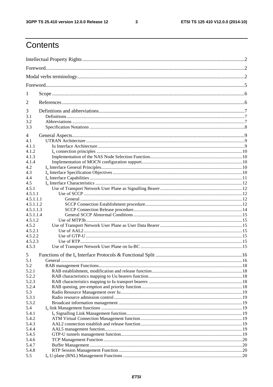$\mathbf{3}$ 

# Contents

| 1         |         |  |  |  |
|-----------|---------|--|--|--|
| 2         |         |  |  |  |
| 3         |         |  |  |  |
| 3.1       |         |  |  |  |
| 3.2       |         |  |  |  |
| 3.3       |         |  |  |  |
| 4         |         |  |  |  |
| 4.1       |         |  |  |  |
| 4.1.1     |         |  |  |  |
| 4.1.2     |         |  |  |  |
| 4.1.3     |         |  |  |  |
| 4.1.4     |         |  |  |  |
| 4.2       |         |  |  |  |
| 4.3       |         |  |  |  |
|           |         |  |  |  |
| 4.4       |         |  |  |  |
| 4.5       |         |  |  |  |
| 4.5.1     |         |  |  |  |
| 4.5.1.1   |         |  |  |  |
| 4.5.1.1.1 |         |  |  |  |
| 4.5.1.1.2 |         |  |  |  |
| 4.5.1.1.3 |         |  |  |  |
| 4.5.1.1.4 |         |  |  |  |
| 4.5.1.2   |         |  |  |  |
| 4.5.2     |         |  |  |  |
| 4.5.2.1   |         |  |  |  |
| 4.5.2.2   |         |  |  |  |
| 4.5.2.3   |         |  |  |  |
| 4.5.3     |         |  |  |  |
| 5         |         |  |  |  |
| 5.1       | General |  |  |  |
| 5.2       |         |  |  |  |
| 5.2.1     |         |  |  |  |
| 5.2.2     |         |  |  |  |
| 5.2.3     |         |  |  |  |
| 5.2.4     |         |  |  |  |
| 5.3       |         |  |  |  |
| 5.3.1     |         |  |  |  |
| 5.3.2     |         |  |  |  |
|           |         |  |  |  |
| 5.4       |         |  |  |  |
| 5.4.1     |         |  |  |  |
| 5.4.2     |         |  |  |  |
| 5.4.3     |         |  |  |  |
| 5.4.4     |         |  |  |  |
| 5.4.5     |         |  |  |  |
| 5.4.6     |         |  |  |  |
| 5.4.7     |         |  |  |  |
| 5.4.8     |         |  |  |  |
| 5.5       |         |  |  |  |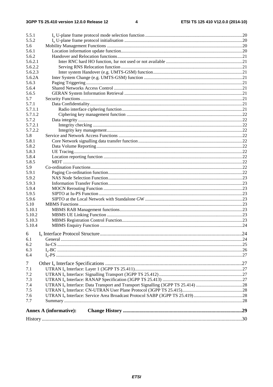| 5.5.1          |                               |  |
|----------------|-------------------------------|--|
| 5.5.2          |                               |  |
| 5.6            |                               |  |
| 5.6.1          |                               |  |
| 5.6.2          |                               |  |
| 5.6.2.1        |                               |  |
| 5.6.2.2        |                               |  |
| 5.6.2.3        |                               |  |
| 5.6.2A         |                               |  |
| 5.6.3          |                               |  |
| 5.6.4          |                               |  |
| 5.6.5          |                               |  |
| 5.7            |                               |  |
| 5.7.1          |                               |  |
| 5.7.1.1        |                               |  |
| 5.7.1.2        |                               |  |
| 5.7.2          |                               |  |
| 5.7.2.1        |                               |  |
| 5.7.2.2        |                               |  |
| 5.8            |                               |  |
| 5.8.1          |                               |  |
| 5.8.2          |                               |  |
| 5.8.3          |                               |  |
| 5.8.4          |                               |  |
| 5.8.5          |                               |  |
| 5.9            |                               |  |
| 5.9.1          |                               |  |
| 5.9.2          |                               |  |
| 5.9.3          |                               |  |
| 5.9.4          |                               |  |
| 5.9.5          |                               |  |
| 5.9.6          |                               |  |
| 5.10           |                               |  |
| 5.10.1         |                               |  |
| 5.10.2         |                               |  |
| 5.10.3         |                               |  |
| 5.10.4         |                               |  |
| 6              |                               |  |
| 6.1            |                               |  |
| 6.2            |                               |  |
| 6.3            |                               |  |
| 6.4            |                               |  |
|                |                               |  |
| $\overline{7}$ |                               |  |
| 7.1            |                               |  |
| 7.2            |                               |  |
| 7.3            |                               |  |
| 7.4            |                               |  |
| 7.5            |                               |  |
| 7.6            |                               |  |
| 7.7            |                               |  |
|                | <b>Annex A (informative):</b> |  |
|                |                               |  |
|                |                               |  |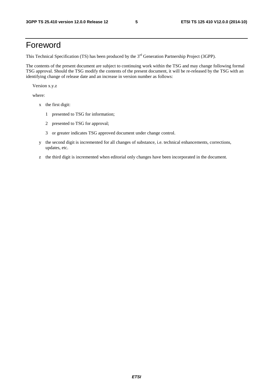# Foreword

This Technical Specification (TS) has been produced by the 3<sup>rd</sup> Generation Partnership Project (3GPP).

The contents of the present document are subject to continuing work within the TSG and may change following formal TSG approval. Should the TSG modify the contents of the present document, it will be re-released by the TSG with an identifying change of release date and an increase in version number as follows:

Version x.y.z

where:

- x the first digit:
	- 1 presented to TSG for information;
	- 2 presented to TSG for approval;
	- 3 or greater indicates TSG approved document under change control.
- y the second digit is incremented for all changes of substance, i.e. technical enhancements, corrections, updates, etc.
- z the third digit is incremented when editorial only changes have been incorporated in the document.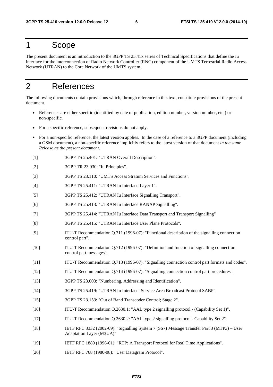### 1 Scope

The present document is an introduction to the 3GPP TS 25.41x series of Technical Specifications that define the Iu interface for the interconnection of Radio Network Controller (RNC) component of the UMTS Terrestrial Radio Access Network (UTRAN) to the Core Network of the UMTS system.

# 2 References

The following documents contain provisions which, through reference in this text, constitute provisions of the present document.

- References are either specific (identified by date of publication, edition number, version number, etc.) or non-specific.
- For a specific reference, subsequent revisions do not apply.
- For a non-specific reference, the latest version applies. In the case of a reference to a 3GPP document (including a GSM document), a non-specific reference implicitly refers to the latest version of that document *in the same Release as the present document*.
- [1] 3GPP TS 25.401: "UTRAN Overall Description".
- [2] 3GPP TR 23.930: "Iu Principles".
- [3] 3GPP TS 23.110: "UMTS Access Stratum Services and Functions".
- [4] 3GPP TS 25.411: "UTRAN Iu Interface Layer 1".
- [5] 3GPP TS 25.412: "UTRAN Iu Interface Signalling Transport".
- [6] 3GPP TS 25.413: "UTRAN Iu Interface RANAP Signalling".
- [7] 3GPP TS 25.414: "UTRAN Iu Interface Data Transport and Transport Signalling"
- [8] 3GPP TS 25.415: "UTRAN Iu Interface User Plane Protocols".
- [9] ITU-T Recommendation Q.711 (1996-07): "Functional description of the signalling connection control part".
- [10] ITU-T Recommendation Q.712 (1996-07): "Definition and function of signalling connection control part messages".
- [11] ITU-T Recommendation Q.713 (1996-07): "Signalling connection control part formats and codes".
- [12] ITU-T Recommendation Q.714 (1996-07): "Signalling connection control part procedures".
- [13] 3GPP TS 23.003: "Numbering, Addressing and Identification".
- [14] 3GPP TS 25.419: "UTRAN Iu Interface: Service Area Broadcast Protocol SABP".
- [15] 3GPP TS 23.153: "Out of Band Transcoder Control; Stage 2".
- [16] ITU-T Recommendation Q.2630.1: "AAL type 2 signalling protocol (Capability Set 1)".
- [17] ITU-T Recommendation Q.2630.2: "AAL type 2 signalling protocol Capability Set 2".
- [18] IETF RFC 3332 (2002-09): "Signalling System 7 (SS7) Message Transfer Part 3 (MTP3) User Adaptation Layer (M3UA)"
- [19] IETF RFC 1889 (1996-01): "RTP: A Transport Protocol for Real Time Applications".
- [20] IETF RFC 768 (1980-08): "User Datagram Protocol".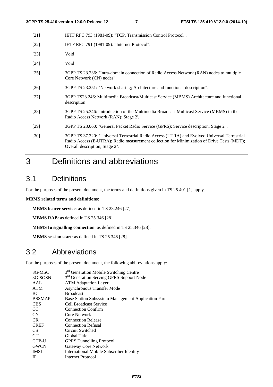- [21] IETF RFC 793 (1981-09): "TCP, Transmission Control Protocol".
- [22] **IETF RFC 791 (1981-09): "Internet Protocol".**
- [23] Void
- [24] Void
- [25] 3GPP TS 23.236: "Intra-domain connection of Radio Access Network (RAN) nodes to multiple Core Network (CN) nodes".
- [26] 3GPP TS 23.251: "Network sharing; Architecture and functional description".
- [27] 3GPP TS23.246: Multimedia Broadcast/Multicast Service (MBMS) Architecture and functional description
- [28] 3GPP TS 25.346: 'Introduction of the Multimedia Broadcast Multicast Service (MBMS) in the Radio Access Network (RAN); Stage 2'.
- [29] 3GPP TS 23.060: "General Packet Radio Service (GPRS); Service description; Stage 2".
- [30] 3GPP TS 37.320: "Universal Terrestrial Radio Access (UTRA) and Evolved Universal Terrestrial Radio Access (E-UTRA); Radio measurement collection for Minimization of Drive Tests (MDT); Overall description; Stage 2".

# 3 Definitions and abbreviations

### 3.1 Definitions

For the purposes of the present document, the terms and definitions given in TS 25.401 [1] apply.

#### **MBMS related terms and definitions:**

**MBMS bearer service**: as defined in TS 23.246 [27].

**MBMS RAB**: as defined in TS 25.346 [28].

**MBMS Iu signalling connection**: as defined in TS 25.346 [28].

**MBMS session start**: as defined in TS 25.346 [28].

# 3.2 Abbreviations

For the purposes of the present document, the following abbreviations apply:

| 3G-MSC        | 3 <sup>rd</sup> Generation Mobile Switching Centre   |
|---------------|------------------------------------------------------|
| 3G-SGSN       | 3 <sup>rd</sup> Generation Serving GPRS Support Node |
| AAL           | <b>ATM</b> Adaptation Layer                          |
| <b>ATM</b>    | Asynchronous Transfer Mode                           |
| BC.           | <b>Broadcast</b>                                     |
| <b>BSSMAP</b> | Base Station Subsystem Management Application Part   |
| <b>CBS</b>    | <b>Cell Broadcast Service</b>                        |
| <sub>CC</sub> | <b>Connection Confirm</b>                            |
| <b>CN</b>     | Core Network                                         |
| CR.           | <b>Connection Release</b>                            |
| <b>CREF</b>   | <b>Connection Refusal</b>                            |
| CS.           | Circuit Switched                                     |
| <b>GT</b>     | Global Title                                         |
| GTP-U         | <b>GPRS</b> Tunnelling Protocol                      |
| <b>GWCN</b>   | Gateway Core Network                                 |
| <b>IMSI</b>   | International Mobile Subscriber Identity             |
| <b>IP</b>     | <b>Internet Protocol</b>                             |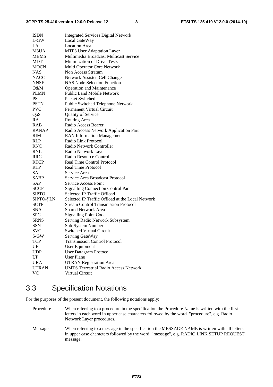| <b>ISDN</b>  | <b>Integrated Services Digital Network</b>       |
|--------------|--------------------------------------------------|
| $L$ -GW      | Local GateWay                                    |
| LA           | <b>Location Area</b>                             |
| M3UA         | MTP3 User Adaptation Layer                       |
| <b>MBMS</b>  | Multimedia Broadcast Multicast Service           |
| <b>MDT</b>   | <b>Minimization of Drive-Tests</b>               |
| <b>MOCN</b>  | Multi Operator Core Network                      |
| <b>NAS</b>   | Non Access Stratum                               |
| <b>NACC</b>  | Network Assisted Cell Change                     |
| <b>NNSF</b>  | <b>NAS Node Selection Function</b>               |
| O&M          | <b>Operation and Maintenance</b>                 |
| <b>PLMN</b>  | <b>Public Land Mobile Network</b>                |
| PS           | Packet Switched                                  |
| <b>PSTN</b>  | Public Switched Telephone Network                |
| <b>PVC</b>   | Permanent Virtual Circuit                        |
| QoS          | Quality of Service                               |
| <b>RA</b>    | Routing Area                                     |
| <b>RAB</b>   | Radio Access Bearer                              |
| RANAP        | Radio Access Network Application Part            |
| RIM          | <b>RAN</b> Information Management                |
| <b>RLP</b>   | Radio Link Protocol                              |
| <b>RNC</b>   | Radio Network Controller                         |
| <b>RNL</b>   | Radio Network Layer                              |
| <b>RRC</b>   | Radio Resource Control                           |
| <b>RTCP</b>  | <b>Real Time Control Protocol</b>                |
| RTP.         | Real Time Protocol                               |
| SA           | Service Area                                     |
| <b>SABP</b>  | Service Area Broadcast Protocol                  |
| SAP          | Service Access Point                             |
| <b>SCCP</b>  | <b>Signalling Connection Control Part</b>        |
| <b>SIPTO</b> | Selected IP Traffic Offload                      |
| SIPTO@LN     | Selected IP Traffic Offload at the Local Network |
| <b>SCTP</b>  | <b>Stream Control Transmission Protocol</b>      |
| <b>SNA</b>   | <b>Shared Network Area</b>                       |
| <b>SPC</b>   | <b>Signalling Point Code</b>                     |
| <b>SRNS</b>  | Serving Radio Network Subsystem                  |
| <b>SSN</b>   | Sub-System Number                                |
| <b>SVC</b>   | <b>Switched Virtual Circuit</b>                  |
| S-GW         | Serving GateWay                                  |
| <b>TCP</b>   | <b>Transmission Control Protocol</b>             |
| UE           | User Equipment                                   |
| <b>UDP</b>   | <b>User Datagram Protocol</b>                    |
| UP           | <b>User Plane</b>                                |
| <b>URA</b>   | <b>UTRAN Registration Area</b>                   |
| <b>UTRAN</b> | <b>UMTS Terrestrial Radio Access Network</b>     |
| <b>VC</b>    | Virtual Circuit                                  |
|              |                                                  |

# 3.3 Specification Notations

For the purposes of the present document, the following notations apply:

Procedure When referring to a procedure in the specification the Procedure Name is written with the first letters in each word in upper case characters followed by the word "procedure", e.g. Radio Network Layer procedures.

Message When referring to a message in the specification the MESSAGE NAME is written with all letters in upper case characters followed by the word "message", e.g. RADIO LINK SETUP REQUEST message.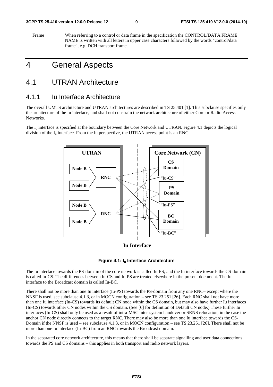#### **3GPP TS 25.410 version 12.0.0 Release 12 9 ETSI TS 125 410 V12.0.0 (2014-10)**

Frame When referring to a control or data frame in the specification the CONTROL/DATA FRAME NAME is written with all letters in upper case characters followed by the words "control/data frame", e.g. DCH transport frame.

# 4 General Aspects

### 4.1 UTRAN Architecture

#### 4.1.1 Iu Interface Architecture

The overall UMTS architecture and UTRAN architectures are described in TS 25.401 [1]. This subclause specifies only the architecture of the Iu interface, and shall not constrain the network architecture of either Core or Radio Access Networks.

The  $I_{\text{u}}$  interface is specified at the boundary between the Core Network and UTRAN. Figure 4.1 depicts the logical division of the  $I_{\mu}$  interface. From the Iu perspective, the UTRAN access point is an RNC.



**Iu Interface**



The Iu interface towards the PS-domain of the core network is called Iu-PS, and the Iu interface towards the CS-domain is called Iu-CS. The differences between Iu-CS and Iu-PS are treated elsewhere in the present document. The Iu interface to the Broadcast domain is called Iu-BC.

There shall not be more than one Iu interface (Iu-PS) towards the PS-domain from any one RNC– except where the NNSF is used, see subclause 4.1.3, or in MOCN configuration – see TS 23.251 [26]. Each RNC shall not have more than one Iu interface (Iu-CS) towards its default CN node within the CS domain, but may also have further Iu interfaces (Iu-CS) towards other CN nodes within the CS domain. (See [6] for definition of Default CN node.) These further Iu interfaces (Iu-CS) shall only be used as a result of intra-MSC inter-system handover or SRNS relocation, in the case the anchor CN node directly connects to the target RNC. There may also be more than one Iu interface towards the CS-Domain if the NNSF is used – see subclause 4.1.3, or in MOCN configuration – see TS 23.251 [26]. There shall not be more than one Iu interface (Iu-BC) from an RNC towards the Broadcast domain.

In the separated core network architecture, this means that there shall be separate signalling and user data connections towards the PS and CS domains – this applies in both transport and radio network layers.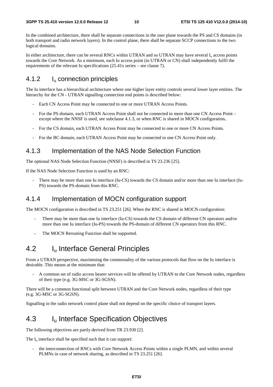In the combined architecture, there shall be separate connections in the user plane towards the PS and CS domains (in both transport and radio network layers). In the control plane, there shall be separate SCCP connections to the two logical domains.

In either architecture, there can be several RNCs within UTRAN and so UTRAN may have several  $I<sub>u</sub>$  access points towards the Core Network. As a minimum, each Iu access point (in UTRAN or CN) shall independently fulfil the requirements of the relevant Iu specifications (25.41x series – see clause 7).

### 4.1.2 I<sub>u</sub> connection principles

The Iu interface has a hierarchical architecture where one higher layer entity controls several lower layer entities. The hierarchy for the CN - UTRAN signalling connection end points is described below:

- Each CN Access Point may be connected to one or more UTRAN Access Points.
- For the PS domain, each UTRAN Access Point shall not be connected to more than one CN Access Point except where the NNSF is used, see subclause 4.1.3, or when RNC is shared in MOCN configuration..
- For the CS domain, each UTRAN Access Point may be connected to one or more CN Access Points.
- For the BC domain, each UTRAN Access Point may be connected to one CN Access Point only.

### 4.1.3 Implementation of the NAS Node Selection Function

The optional NAS Node Selection Function (NNSF) is described in TS 23.236 [25].

If the NAS Node Selection Function is used by an RNC:

There may be more than one Iu interface (Iu-CS) towards the CS domain and/or more than one Iu interface (Iu-PS) towards the PS-domain from this RNC.

#### 4.1.4 Implementation of MOCN configuration support

The MOCN configuration is described in TS 23.251 [26]. When the RNC is shared in MOCN configuration:

- There may be more than one Iu interface (Iu-CS) towards the CS domain of different CN operators and/or more than one Iu interface (Iu-PS) towards the PS-domain of different CN operators from this RNC.
- The MOCN Rerouting Function shall be supported.

# 4.2 **I<sub>u</sub>** Interface General Principles

From a UTRAN perspective, maximising the commonality of the various protocols that flow on the Iu interface is desirable. This means at the minimum that:

- A common set of radio access bearer services will be offered by UTRAN to the Core Network nodes, regardless of their type (e.g. 3G-MSC or 3G-SGSN).

There will be a common functional split between UTRAN and the Core Network nodes, regardless of their type (e.g. 3G-MSC or 3G-SGSN).

Signalling in the radio network control plane shall not depend on the specific choice of transport layers.

# 4.3 Iu Interface Specification Objectives

The following objectives are partly derived from TR 23.930 [2].

The  $I_u$  interface shall be specified such that it can support:

the interconnection of RNCs with Core Network Access Points within a single PLMN, and within several PLMNs in case of network sharing, as described in TS 23.251 [26].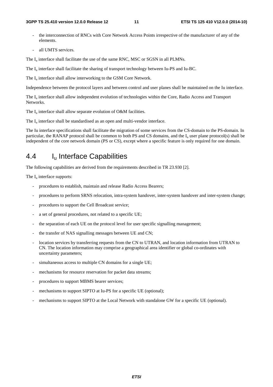- the interconnection of RNCs with Core Network Access Points irrespective of the manufacturer of any of the elements.
- all UMTS services.

The  $I_{\text{u}}$  interface shall facilitate the use of the same RNC, MSC or SGSN in all PLMNs.

The I<sub>u</sub> interface shall facilitate the sharing of transport technology between Iu-PS and Iu-BC.

The  $I_{\text{u}}$  interface shall allow interworking to the GSM Core Network.

Independence between the protocol layers and between control and user planes shall be maintained on the Iu interface.

The  $I_u$  interface shall allow independent evolution of technologies within the Core, Radio Access and Transport Networks.

The  $I_u$  interface shall allow separate evolution of O&M facilities.

The  $I_{\text{u}}$  interface shall be standardised as an open and multi-vendor interface.

The Iu interface specifications shall facilitate the migration of some services from the CS-domain to the PS-domain. In particular, the RANAP protocol shall be common to both PS and CS domains, and the I<sub>u</sub> user plane protocol(s) shall be independent of the core network domain (PS or CS), except where a specific feature is only required for one domain.

### 4.4 I<sub>u</sub> Interface Capabilities

The following capabilities are derived from the requirements described in TR 23.930 [2].

The  $I_u$  interface supports:

- procedures to establish, maintain and release Radio Access Bearers;
- procedures to perform SRNS relocation, intra-system handover, inter-system handover and inter-system change;
- procedures to support the Cell Broadcast service;
- a set of general procedures, not related to a specific UE;
- the separation of each UE on the protocol level for user specific signalling management;
- the transfer of NAS signalling messages between UE and CN;
- location services by transferring requests from the CN to UTRAN, and location information from UTRAN to CN. The location information may comprise a geographical area identifier or global co-ordinates with uncertainty parameters;
- simultaneous access to multiple CN domains for a single UE;
- mechanisms for resource reservation for packet data streams;
- procedures to support MBMS bearer services;
- mechanisms to support SIPTO at Iu-PS for a specific UE (optional);
- mechanisms to support SIPTO at the Local Network with standalone GW for a specific UE (optional).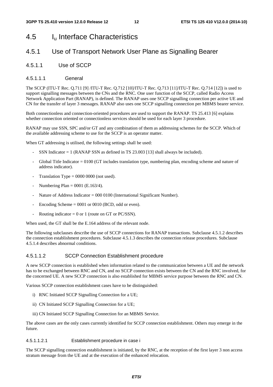# 4.5 Iu Interface Characteristics

### 4.5.1 Use of Transport Network User Plane as Signalling Bearer

4.5.1.1 Use of SCCP

#### 4.5.1.1.1 General

The SCCP (ITU-T Rec. Q.711 [9] /ITU-T Rec. Q.712 [10]/ITU-T Rec. Q.713 [11]/ITU-T Rec. Q.714 [12]) is used to support signalling messages between the CNs and the RNC. One user function of the SCCP, called Radio Access Network Application Part (RANAP), is defined. The RANAP uses one SCCP signalling connection per active UE and CN for the transfer of layer 3 messages. RANAP also uses one SCCP signalling connection per MBMS bearer service.

Both connectionless and connection-oriented procedures are used to support the RANAP. TS 25.413 [6] explains whether connection oriented or connectionless services should be used for each layer 3 procedure.

RANAP may use SSN, SPC and/or GT and any combination of them as addressing schemes for the SCCP. Which of the available addressing scheme to use for the SCCP is an operator matter.

When GT addressing is utilised, the following settings shall be used:

- SSN Indicator = 1 (RANAP SSN as defined in TS 23.003 [13] shall always be included).
- Global Title Indicator  $= 0100$  (GT includes translation type, numbering plan, encoding scheme and nature of address indicator).
- Translation Type =  $0000 0000$  (not used).
- Numbering Plan =  $0001$  (E.163/4).
- Nature of Address Indicator = 000 0100 (International Significant Number).
- Encoding Scheme  $= 0001$  or 0010 (BCD, odd or even).
- Routing indicator =  $0$  or 1 (route on GT or PC/SSN).

When used, the GT shall be the E.164 address of the relevant node.

The following subclauses describe the use of SCCP connections for RANAP transactions. Subclause 4.5.1.2 describes the connection establishment procedures. Subclause 4.5.1.3 describes the connection release procedures. Subclause 4.5.1.4 describes abnormal conditions.

#### 4.5.1.1.2 SCCP Connection Establishment procedure

A new SCCP connection is established when information related to the communication between a UE and the network has to be exchanged between RNC and CN, and no SCCP connection exists between the CN and the RNC involved, for the concerned UE. A new SCCP connection is also established for MBMS service purpose between the RNC and CN.

Various SCCP connection establishment cases have to be distinguished:

- i) RNC Initiated SCCP Signalling Connection for a UE;
- ii) CN Initiated SCCP Signalling Connection for a UE;
- iii) CN Initiated SCCP Signalling Connection for an MBMS Service.

The above cases are the only cases currently identified for SCCP connection establishment. Others may emerge in the future.

#### 4.5.1.1.2.1 Establishment procedure in case i

The SCCP signalling connection establishment is initiated, by the RNC, at the reception of the first layer 3 non access stratum message from the UE and at the execution of the enhanced relocation.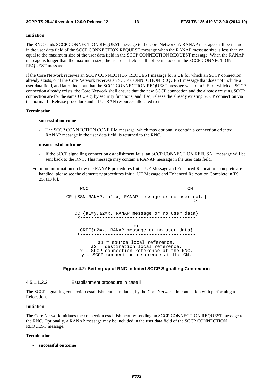#### **Initiation**

The RNC sends SCCP CONNECTION REQUEST message to the Core Network. A RANAP message shall be included in the user data field of the SCCP CONNECTION REQUEST message when the RANAP message size is less than or equal to the maximum size of the user data field in the SCCP CONNECTION REQUEST message. When the RANAP message is longer than the maximum size, the user data field shall not be included in the SCCP CONNECTION REQUEST message.

If the Core Network receives an SCCP CONNECTION REQUEST message for a UE for which an SCCP connection already exists, or if the Core Network receives an SCCP CONNECTION REQUEST message that does not include a user data field, and later finds out that the SCCP CONNECTION REQUEST message was for a UE for which an SCCP connection already exists, the Core Network shall ensure that the new SCCP connection and the already existing SCCP connection are for the same UE, e.g. by security functions, and if so, release the already existing SCCP connection via the normal Iu Release procedure and all UTRAN resources allocated to it.

#### **Termination**

- **successful outcome** 
	- The SCCP CONNECTION CONFIRM message, which may optionally contain a connection oriented RANAP message in the user data field, is returned to the RNC.

#### **- unsuccessful outcome**

- If the SCCP signalling connection establishment fails, an SCCP CONNECTION REFUSAL message will be sent back to the RNC. This message may contain a RANAP message in the user data field.
- For more information on how the RANAP procedures Initial UE Message and Enhanced Relocation Complete are handled, please see the elementary procedures Initial UE Message and Enhanced Relocation Complete in TS 25.413 [6].

| <b>RNC</b>                                                                                                                                                        | CN |
|-------------------------------------------------------------------------------------------------------------------------------------------------------------------|----|
| CR $\{SSN=RANAP, al=x, RANAP message or no user data\}$                                                                                                           |    |
| $CC \{a1=y, a2=x, RANAP message or no user data\}$                                                                                                                |    |
| or<br>CREF{a2=x, RANAP message or no user data}                                                                                                                   |    |
| al = source local reference,<br>a2 = destination local reference,<br>$x = SCCP$ connection reference at the RNC,<br>$y = SCCP$ connection reference at the $CN$ . |    |

#### **Figure 4.2: Setting-up of RNC Initiated SCCP Signalling Connection**

4.5.1.1.2.2 Establishment procedure in case ii

The SCCP signalling connection establishment is initiated, by the Core Network, in connection with performing a Relocation.

#### **Initiation**

The Core Network initiates the connection establishment by sending an SCCP CONNECTION REQUEST message to the RNC. Optionally, a RANAP message may be included in the user data field of the SCCP CONNECTION REQUEST message.

#### **Termination**

**- successful outcome**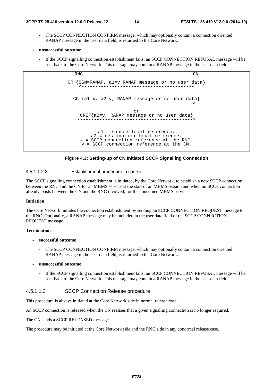- The SCCP CONNECTION CONFIRM message, which may optionally contain a connection oriented RANAP message in the user data field, is returned to the Core Network.
- **unsuccessful outcome** 
	- If the SCCP signalling connection establishment fails, an SCCP CONNECTION REFUSAL message will be sent back to the Core Network. This message may contain a RANAP message in the user data field.



#### **Figure 4.3: Setting-up of CN Initiated SCCP Signalling Connection**

#### 4.5.1.1.2.3 Establishment procedure in case iii

The SCCP signalling connection establishment is initiated, by the Core Network, to establish a new SCCP connection between the RNC and the CN for an MBMS service at the start of an MBMS session and when no SCCP connection already exists between the CN and the RNC involved, for the concerned MBMS service.

#### **Initiation**

The Core Network initiates the connection establishment by sending an SCCP CONNECTION REQUEST message to the RNC. Optionally, a RANAP message may be included in the user data field of the SCCP CONNECTION REQUEST message.

#### **Termination**

#### **- successful outcome**

The SCCP CONNECTION CONFIRM message, which may optionally contain a connection oriented RANAP message in the user data field, is returned to the Core Network.

#### **- unsuccessful outcome**

If the SCCP signalling connection establishment fails, an SCCP CONNECTION REFUSAL message will be sent back to the Core Network. This message may contain a RANAP message in the user data field.

#### 4.5.1.1.3 SCCP Connection Release procedure

This procedure is always initiated at the Core Network side in normal release case.

An SCCP connection is released when the CN realises that a given signalling connection is no longer required.

The CN sends a SCCP RELEASED message.

The procedure may be initiated at the Core Network side and the RNC side in any abnormal release case.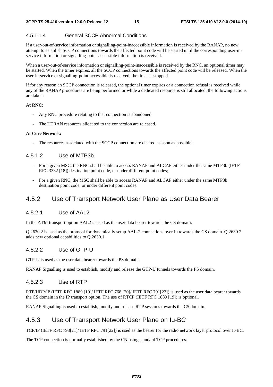#### 4.5.1.1.4 General SCCP Abnormal Conditions

If a user-out-of-service information or signalling-point-inaccessible information is received by the RANAP, no new attempt to establish SCCP connections towards the affected point code will be started until the corresponding user-inservice information or signalling-point-accessible information is received.

When a user-out-of-service information or signalling-point-inaccessible is received by the RNC, an optional timer may be started. When the timer expires, all the SCCP connections towards the affected point code will be released. When the user-in-service or signalling-point-accessible is received, the timer is stopped.

If for any reason an SCCP connection is released, the optional timer expires or a connection refusal is received while any of the RANAP procedures are being performed or while a dedicated resource is still allocated, the following actions are taken:

#### **At RNC:**

- Any RNC procedure relating to that connection is abandoned.
- The UTRAN resources allocated to the connection are released.

#### **At Core Network:**

- The resources associated with the SCCP connection are cleared as soon as possible.

#### 4.5.1.2 Use of MTP3b

- For a given MSC, the RNC shall be able to access RANAP and ALCAP either under the same MTP3b (IETF RFC 3332 [18]) destination point code, or under different point codes;
- For a given RNC, the MSC shall be able to access RANAP and ALCAP either under the same MTP3b destination point code, or under different point codes.

#### 4.5.2 Use of Transport Network User Plane as User Data Bearer

#### 4.5.2.1 Use of AAL2

In the ATM transport option AAL2 is used as the user data bearer towards the CS domain.

Q.2630.2 is used as the protocol for dynamically setup AAL-2 connections over Iu towards the CS domain. Q.2630.2 adds new optional capabilities to Q.2630.1.

#### 4.5.2.2 Use of GTP-U

GTP-U is used as the user data bearer towards the PS domain.

RANAP Signalling is used to establish, modify and release the GTP-U tunnels towards the PS domain.

#### 4.5.2.3 Use of RTP

RTP/UDP/IP (IETF RFC 1889 [19]/ IETF RFC 768 [20]/ IETF RFC 791[22]) is used as the user data bearer towards the CS domain in the IP transport option. The use of RTCP (IETF RFC 1889 [19]) is optional.

RANAP Signalling is used to establish, modify and release RTP sessions towards the CS domain.

### 4.5.3 Use of Transport Network User Plane on Iu-BC

TCP/IP (IETF RFC 793[21]/ IETF RFC 791[22]) is used as the bearer for the radio network layer protocol over Iu-BC.

The TCP connection is normally established by the CN using standard TCP procedures.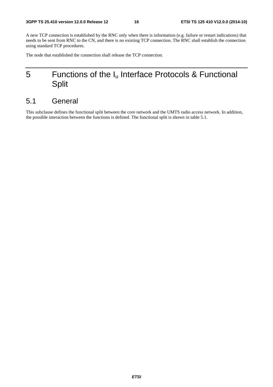A new TCP connection is established by the RNC only when there is information (e.g. failure or restart indications) that needs to be sent from RNC to the CN, and there is no existing TCP connection. The RNC shall establish the connection using standard TCP procedures.

The node that established the connection shall release the TCP connection.

# 5 Functions of the  $I_u$  Interface Protocols & Functional Split

# 5.1 General

This subclause defines the functional split between the core network and the UMTS radio access network. In addition, the possible interaction between the functions is defined. The functional split is shown in table 5.1.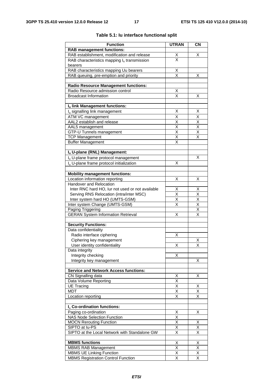| <b>Function</b>                                            | <b>UTRAN</b>                        | CN                           |
|------------------------------------------------------------|-------------------------------------|------------------------------|
| <b>RAB management functions:</b>                           |                                     |                              |
| RAB establishment, modification and release                | <u>X</u>                            | X                            |
| RAB characteristics mapping $I_u$ transmission             | $\overline{\mathsf{x}}$             |                              |
| bearers                                                    |                                     |                              |
| RAB characteristics mapping Uu bearers                     | X                                   |                              |
| RAB queuing, pre-emption and priority                      | $\overline{\mathsf{x}}$             | X                            |
|                                                            |                                     |                              |
| <b>Radio Resource Management functions:</b>                |                                     |                              |
| Radio Resource admission control                           | Χ                                   |                              |
| <b>Broadcast Information</b>                               | $\overline{\mathsf{x}}$             | Χ                            |
|                                                            |                                     |                              |
| Iu link Management functions:                              | Χ                                   | X                            |
| I <sub>u</sub> signalling link management                  | X                                   | $\overline{\mathsf{x}}$      |
| ATM VC management<br>AAL2 establish and release            |                                     |                              |
|                                                            | Χ<br>$\overline{\mathsf{x}}$        | X<br>$\overline{\mathsf{x}}$ |
| AAL5 management<br>GTP-U Tunnels management                | X                                   | Χ                            |
| <b>TCP Management</b>                                      | $\overline{\mathsf{x}}$             | X                            |
| <b>Buffer Management</b>                                   | Χ                                   |                              |
|                                                            |                                     |                              |
| Iu U-plane (RNL) Management:                               |                                     |                              |
| I <sub>u</sub> U-plane frame protocol management           |                                     | x                            |
| I <sub>u</sub> U-plane frame protocol initialization       | х                                   |                              |
|                                                            |                                     |                              |
| <b>Mobility management functions:</b>                      |                                     |                              |
| Location information reporting                             | Χ                                   | X                            |
| Handover and Relocation                                    |                                     |                              |
| Inter RNC hard HO, lur not used or not available           | Χ                                   | Χ                            |
| Serving RNS Relocation (intra/inter MSC)                   | X                                   | $\times$                     |
| Inter system hard HO (UMTS-GSM)                            | $\overline{\mathsf{x}}$             | $\overline{\mathsf{x}}$      |
| Inter system Change (UMTS-GSM)                             | $\overline{\mathsf{x}}$             | $\overline{\mathsf{x}}$      |
| Paging Triggering                                          |                                     | $\overline{\mathsf{x}}$      |
| <b>GERAN System Information Retrieval</b>                  | X                                   | X                            |
|                                                            |                                     |                              |
| <b>Security Functions:</b>                                 |                                     |                              |
| Data confidentiality                                       |                                     |                              |
| Radio interface ciphering                                  | Χ                                   |                              |
| Ciphering key management                                   |                                     | Χ                            |
| User identity confidentiality                              | X                                   | X                            |
| Data integrity                                             |                                     |                              |
| Integrity checking                                         | X                                   |                              |
| Integrity key management                                   |                                     | X.                           |
|                                                            |                                     |                              |
| <b>Service and Network Access functions:</b>               |                                     |                              |
| CN Signalling data                                         | Χ                                   | х                            |
| Data Volume Reporting                                      | X                                   |                              |
| <b>UE Tracing</b><br><b>MDT</b>                            | X                                   | Χ<br>$\overline{\mathsf{X}}$ |
|                                                            | Χ                                   |                              |
| Location reporting                                         | X                                   | X                            |
| I <sub>u</sub> Co-ordination functions:                    |                                     |                              |
|                                                            |                                     |                              |
| Paging co-ordination<br><b>NAS Node Selection Function</b> | <u>х</u><br>$\overline{\mathsf{x}}$ | Χ                            |
| <b>MOCN Rerouting Function</b>                             | $\overline{\mathsf{x}}$             | Χ                            |
| SIPTO at lu-PS                                             | X                                   | $\overline{\mathsf{x}}$      |
| SIPTO at the Local Network with Standalone GW              | X                                   | $\overline{\mathsf{x}}$      |
|                                                            |                                     |                              |
| <b>MBMS functions</b>                                      | Χ                                   | Χ                            |
| <b>MBMS RAB Management</b>                                 | Χ                                   | Χ                            |
| MBMS UE Linking Function                                   | $\overline{\mathsf{x}}$             | $\overline{\mathsf{x}}$      |
| <b>MBMS Registration Control Function</b>                  | $\overline{\mathsf{x}}$             | $\overline{\mathsf{x}}$      |
|                                                            |                                     |                              |

#### **Table 5.1: Iu interface functional split**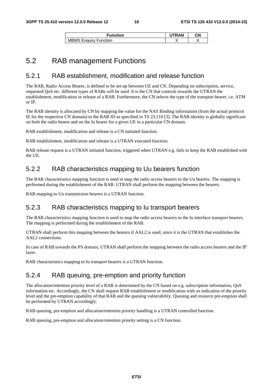| Function                   | <b>RAN</b> | СN |
|----------------------------|------------|----|
| MBMS<br>` Enquiry Function |            |    |

### 5.2 RAB management Functions

#### 5.2.1 RAB establishment, modification and release function

The RAB, Radio Access Bearer, is defined to be set-up between UE and CN. Depending on subscription, service, requested QoS etc. different types of RABs will be used. It is the CN that controls towards the UTRAN the establishment, modification or release of a RAB. Furthermore, the CN selects the type of the transport bearer, i.e. ATM or IP.

The RAB identity is allocated by CN by mapping the value for the NAS Binding information (from the actual protocol IE for the respective CN domain) to the RAB ID as specified in TS 23.110 [3]. The RAB identity is globally significant on both the radio bearer and on the Iu bearer for a given UE in a particular CN domain.

RAB establishment, modification and release is a CN initiated function.

RAB establishment, modification and release is a UTRAN executed function.

RAB release request is a UTRAN initiated function, triggered when UTRAN e.g. fails to keep the RAB established with the UE.

### 5.2.2 RAB characteristics mapping to Uu bearers function

The RAB characteristics mapping function is used to map the radio access bearers to the Uu bearers. The mapping is performed during the establishment of the RAB. UTRAN shall perform the mapping between the bearers.

RAB mapping to Uu transmission bearers is a UTRAN function.

#### 5.2.3 RAB characteristics mapping to Iu transport bearers

The RAB characteristics mapping function is used to map the radio access bearers to the Iu interface transport bearers. The mapping is performed during the establishment of the RAB.

UTRAN shall perform this mapping between the bearers if AAL2 is used, since it is the UTRAN that establishes the AAL2 connections.

In case of RAB towards the PS domain, UTRAN shall perform the mapping between the radio access bearers and the IP layer.

RAB characteristics mapping to Iu transport bearers is a UTRAN function.

#### 5.2.4 RAB queuing, pre-emption and priority function

The allocation/retention priority level of a RAB is determined by the CN based on e.g. subscription information, QoS information etc. Accordingly, the CN shall request RAB establishment or modification with an indication of the priority level and the pre-emption capability of that RAB and the queuing vulnerability. Queuing and resource pre-emption shall be performed by UTRAN accordingly.

RAB queuing, pre-emption and allocation/retention priority handling is a UTRAN controlled function.

RAB queuing, pre-emption and allocation/retention priority setting is a CN function.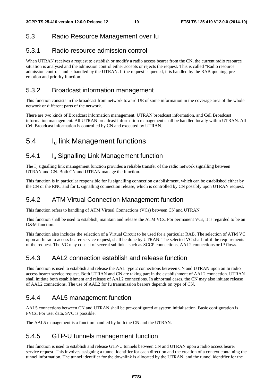### 5.3 Radio Resource Management over Iu

### 5.3.1 Radio resource admission control

When UTRAN receives a request to establish or modify a radio access bearer from the CN, the current radio resource situation is analysed and the admission control either accepts or rejects the request. This is called "Radio resource admission control" and is handled by the UTRAN. If the request is queued, it is handled by the RAB queuing, preemption and priority function.

### 5.3.2 Broadcast information management

This function consists in the broadcast from network toward UE of some information in the coverage area of the whole network or different parts of the network.

There are two kinds of Broadcast information management. UTRAN broadcast information, and Cell Broadcast information management. All UTRAN broadcast information management shall be handled locally within UTRAN. All Cell Broadcast information is controlled by CN and executed by UTRAN.

# 5.4 Iu link Management functions

### 5.4.1 Iu Signalling Link Management function

The  $I_{\text{u}}$  signalling link management function provides a reliable transfer of the radio network signalling between UTRAN and CN. Both CN and UTRAN manage the function.

This function is in particular responsible for Iu signalling connection establishment, which can be established either by the CN or the RNC and for  $I_u$  signalling connection release, which is controlled by CN possibly upon UTRAN request.

### 5.4.2 ATM Virtual Connection Management function

This function refers to handling of ATM Virtual Connections (VCs) between CN and UTRAN.

This function shall be used to establish, maintain and release the ATM VCs. For permanent VCs, it is regarded to be an O&M function.

This function also includes the selection of a Virtual Circuit to be used for a particular RAB. The selection of ATM VC upon an Iu radio access bearer service request, shall be done by UTRAN. The selected VC shall fulfil the requirements of the request. The VC may consist of several sublinks: such as SCCP connections, AAL2 connections or IP flows.

### 5.4.3 AAL2 connection establish and release function

This function is used to establish and release the AAL type 2 connections between CN and UTRAN upon an Iu radio access bearer service request. Both UTRAN and CN are taking part in the establishment of AAL2 connection. UTRAN shall initiate both establishment and release of AAL2 connections. In abnormal cases, the CN may also initiate release of AAL2 connections. The use of AAL2 for Iu transmission bearers depends on type of CN.

### 5.4.4 AAL5 management function

AAL5 connections between CN and UTRAN shall be pre-configured at system initialisation. Basic configuration is PVCs. For user data, SVC is possible.

The AAL5 management is a function handled by both the CN and the UTRAN.

### 5.4.5 GTP-U tunnels management function

This function is used to establish and release GTP-U tunnels between CN and UTRAN upon a radio access bearer service request. This involves assigning a tunnel identifier for each direction and the creation of a context containing the tunnel information. The tunnel identifier for the downlink is allocated by the UTRAN, and the tunnel identifier for the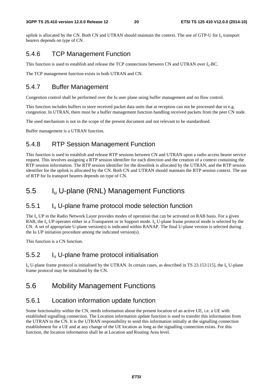uplink is allocated by the CN. Both CN and UTRAN should maintain the context. The use of GTP-U for I<sub>n</sub> transport bearers depends on type of CN.

### 5.4.6 TCP Management Function

This function is used to establish and release the TCP connections between CN and UTRAN over  $I_{\rm u}$ -BC.

The TCP management function exists in both UTRAN and CN.

### 5.4.7 Buffer Management

Congestion control shall be performed over the Iu user plane using buffer management and no flow control.

This function includes buffers to store received packet data units that at reception can not be processed due to e.g. congestion. In UTRAN, there must be a buffer management function handling received packets from the peer CN node.

The used mechanism is not in the scope of the present document and not relevant to be standardised.

Buffer management is a UTRAN function.

### 5.4.8 RTP Session Management Function

This function is used to establish and release RTP sessions between CN and UTRAN upon a radio access bearer service request. This involves assigning a RTP session identifier for each direction and the creation of a context containing the RTP session information. The RTP session identifier for the downlink is allocated by the UTRAN, and the RTP session identifier for the uplink is allocated by the CN. Both CN and UTRAN should maintain the RTP session context. The use of RTP for Iu transport bearers depends on type of CN.

# 5.5 Iu U-plane (RNL) Management Functions

### 5.5.1 Iu U-plane frame protocol mode selection function

The  $I_{\rm u}$  UP in the Radio Network Layer provides modes of operation that can be activated on RAB basis. For a given RAB, the  $I_u$  UP operates either in a Transparent or in Support mode.  $I_u$  U-plane frame protocol mode is selected by the CN. A set of appropriate U-plane version(s) is indicated within RANAP. The final U-plane version is selected during the Iu UP initiation procedure among the indicated version(s).

This function is a CN function.

### 5.5.2 Iu U-plane frame protocol initialisation

 $I_{\rm n}$  U-plane frame protocol is initialised by the UTRAN. In certain cases, as described in TS 23.153 [15], the  $I_{\rm u}$  U-plane frame protocol may be initialised by the CN.

# 5.6 Mobility Management Functions

### 5.6.1 Location information update function

Some functionality within the CN, needs information about the present location of an active UE, i.e. a UE with established signalling connection. The Location information update function is used to transfer this information from the UTRAN to the CN. It is the UTRAN responsibility to send this information initially at the signalling connection establishment for a UE and at any change of the UE location as long as the signalling connection exists. For this function, the location information shall be at Location and Routing Area level.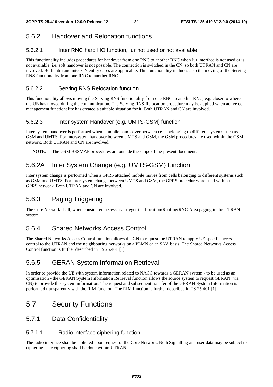### 5.6.2 Handover and Relocation functions

#### 5.6.2.1 Inter RNC hard HO function, Iur not used or not available

This functionality includes procedures for handover from one RNC to another RNC when Iur interface is not used or is not available, i.e. soft handover is not possible. The connection is switched in the CN, so both UTRAN and CN are involved. Both intra and inter CN entity cases are applicable. This functionality includes also the moving of the Serving RNS functionality from one RNC to another RNC.

#### 5.6.2.2 Serving RNS Relocation function

This functionality allows moving the Serving RNS functionality from one RNC to another RNC, e.g. closer to where the UE has moved during the communication. The Serving RNS Relocation procedure may be applied when active cell management functionality has created a suitable situation for it. Both UTRAN and CN are involved.

#### 5.6.2.3 Inter system Handover (e.g. UMTS-GSM) function

Inter system handover is performed when a mobile hands over between cells belonging to different systems such as GSM and UMTS. For intersystem handover between UMTS and GSM, the GSM procedures are used within the GSM network. Both UTRAN and CN are involved.

NOTE: The GSM BSSMAP procedures are outside the scope of the present document.

### 5.6.2A Inter System Change (e.g. UMTS-GSM) function

Inter system change is performed when a GPRS attached mobile moves from cells belonging to different systems such as GSM and UMTS. For intersystem change between UMTS and GSM, the GPRS procedures are used within the GPRS network. Both UTRAN and CN are involved.

### 5.6.3 Paging Triggering

The Core Network shall, when considered necessary, trigger the Location/Routing/RNC Area paging in the UTRAN system.

### 5.6.4 Shared Networks Access Control

The Shared Networks Access Control function allows the CN to request the UTRAN to apply UE specific access control to the UTRAN and the neighbouring networks on a PLMN or an SNA basis. The Shared Networks Access Control function is further described in TS 25.401 [1].

### 5.6.5 GERAN System Information Retrieval

In order to provide the UE with system information related to NACC towards a GERAN system - to be used as an optimisation - the GERAN System Information Retrieval function allows the source system to request GERAN (via CN) to provide this system information. The request and subsequent transfer of the GERAN System Information is performed transparently with the RIM function. The RIM function is further described in TS 25.401 [1]

# 5.7 Security Functions

#### 5.7.1 Data Confidentiality

#### 5.7.1.1 Radio interface ciphering function

The radio interface shall be ciphered upon request of the Core Network. Both Signalling and user data may be subject to ciphering. The ciphering shall be done within UTRAN.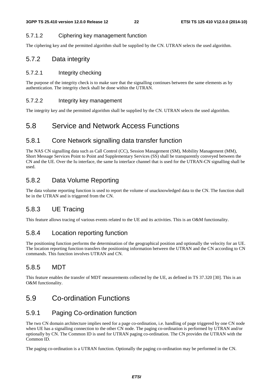#### 5.7.1.2 Ciphering key management function

The ciphering key and the permitted algorithm shall be supplied by the CN. UTRAN selects the used algorithm.

#### 5.7.2 Data integrity

#### 5.7.2.1 Integrity checking

The purpose of the integrity check is to make sure that the signalling continues between the same elements as by authentication. The integrity check shall be done within the UTRAN.

#### 5.7.2.2 Integrity key management

The integrity key and the permitted algorithm shall be supplied by the CN. UTRAN selects the used algorithm.

### 5.8 Service and Network Access Functions

#### 5.8.1 Core Network signalling data transfer function

The NAS CN signalling data such as Call Control (CC), Session Management (SM), Mobility Management (MM), Short Message Services Point to Point and Supplementary Services (SS) shall be transparently conveyed between the CN and the UE. Over the Iu interface, the same Iu interface channel that is used for the UTRAN-CN signalling shall be used.

### 5.8.2 Data Volume Reporting

The data volume reporting function is used to report the volume of unacknowledged data to the CN. The function shall be in the UTRAN and is triggered from the CN.

### 5.8.3 UE Tracing

This feature allows tracing of various events related to the UE and its activities. This is an O&M functionality.

#### 5.8.4 Location reporting function

The positioning function performs the determination of the geographical position and optionally the velocity for an UE. The location reporting function transfers the positioning information between the UTRAN and the CN according to CN commands. This function involves UTRAN and CN.

### 5.8.5 MDT

This feature enables the transfer of MDT measurements collected by the UE, as defined in TS 37.320 [30]. This is an O&M functionality.

### 5.9 Co-ordination Functions

### 5.9.1 Paging Co-ordination function

The two CN domain architecture implies need for a page co-ordination, i.e. handling of page triggered by one CN node when UE has a signalling connection to the other CN node. The paging co-ordination is performed by UTRAN and/or optionally by CN. The Common ID is used for UTRAN paging co-ordination. The CN provides the UTRAN with the Common ID.

The paging co-ordination is a UTRAN function. Optionally the paging co-ordination may be performed in the CN.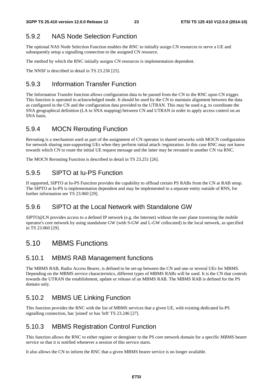### 5.9.2 NAS Node Selection Function

The optional NAS Node Selection Function enables the RNC to initially assign CN resources to serve a UE and subsequently setup a signalling connection to the assigned CN resource.

The method by which the RNC initially assigns CN resources is implementation dependent.

The NNSF is described in detail in TS 23.236 [25].

### 5.9.3 Information Transfer Function

The Information Transfer function allows configuration data to be passed from the CN to the RNC upon CN trigger. This function is operated in acknowledged mode. It should be used by the CN to maintain alignment between the data as configured in the CN and the configuration data provided to the UTRAN. This may be used e.g. to coordinate the SNA geographical definition (LA to SNA mapping) between CN and UTRAN in order to apply access control on an SNA basis.

#### 5.9.4 MOCN Rerouting Function

Rerouting is a mechanism used as part of the assignment of CN operator in shared networks with MOCN configuration for network sharing non-supporting UEs when they perform initial attach /registration. In this case RNC may not know towards which CN to route the initial UE request message and the latter may be rerouted to another CN via RNC.

The MOCN Rerouting Function is described in detail in TS 23.251 [26].

#### 5.9.5 SIPTO at Iu-PS Function

If supported, SIPTO at Iu-PS Function provides the capability to offload certain PS RABs from the CN at RAB setup. The SIPTO at Iu-PS is implementation dependent and may be implemented in a separate entity outside of RNS, for further information see TS 23.060 [29].

#### 5.9.6 SIPTO at the Local Network with Standalone GW

SIPTO@LN provides access to a defined IP network (e.g. the Internet) without the user plane traversing the mobile operator's core network by using standalone GW (with S-GW and L-GW collocated) in the local network, as specified in TS 23.060 [29].

### 5.10 MBMS Functions

#### 5.10.1 MBMS RAB Management functions

The MBMS RAB, Radio Access Bearer, is defined to be set-up between the CN and one or several UEs for MBMS. Depending on the MBMS service characteristics, different types of MBMS RABs will be used. It is the CN that controls towards the UTRAN the establishment, update or release of an MBMS RAB. The MBMS RAB is defined for the PS domain only.

#### 5.10.2 MBMS UE Linking Function

This function provides the RNC with the list of MBMS services that a given UE, with existing dedicated Iu-PS signalling connection, has 'joined' or has 'left' TS 23.246 [27].

#### 5.10.3 MBMS Registration Control Function

This function allows the RNC to either register or deregister to the PS core network domain for a specific MBMS bearer service so that it is notified whenever a session of this service starts.

It also allows the CN to inform the RNC that a given MBMS bearer service is no longer available.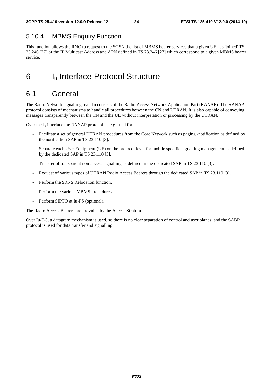### 5.10.4 MBMS Enquiry Function

This function allows the RNC to request to the SGSN the list of MBMS bearer services that a given UE has 'joined' TS 23.246 [27] or the IP Multicast Address and APN defined in TS 23.246 [27] which correspond to a given MBMS bearer service.

# 6 I<sub>u</sub> Interface Protocol Structure

# 6.1 General

The Radio Network signalling over Iu consists of the Radio Access Network Application Part (RANAP). The RANAP protocol consists of mechanisms to handle all procedures between the CN and UTRAN. It is also capable of conveying messages transparently between the CN and the UE without interpretation or processing by the UTRAN.

Over the  $I_u$  interface the RANAP protocol is, e.g. used for:

- Facilitate a set of general UTRAN procedures from the Core Network such as paging -notification as defined by the notification SAP in TS 23.110 [3].
- Separate each User Equipment (UE) on the protocol level for mobile specific signalling management as defined by the dedicated SAP in TS 23.110 [3].
- Transfer of transparent non-access signalling as defined in the dedicated SAP in TS 23.110 [3].
- Request of various types of UTRAN Radio Access Bearers through the dedicated SAP in TS 23.110 [3].
- Perform the SRNS Relocation function.
- Perform the various MBMS procedures.
- Perform SIPTO at Iu-PS (optional).

The Radio Access Bearers are provided by the Access Stratum.

Over Iu-BC, a datagram mechanism is used, so there is no clear separation of control and user planes, and the SABP protocol is used for data transfer and signalling.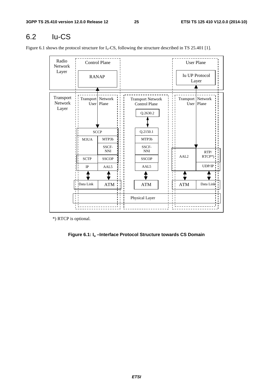# 6.2 Iu-CS

Figure 6.1 shows the protocol structure for  $I_u$ -CS, following the structure described in TS 25.401 [1].

| Radio<br>Network              |                             | <b>Control Plane</b>    |  |                                                              | <b>User Plane</b>   |                                |
|-------------------------------|-----------------------------|-------------------------|--|--------------------------------------------------------------|---------------------|--------------------------------|
| Layer                         | <b>RANAP</b>                |                         |  |                                                              |                     | <b>Iu UP Protocol</b><br>Layer |
| Transport<br>Network<br>Layer | Transport   Network<br>User | Plane                   |  | <b>Transport Network</b><br><b>Control Plane</b><br>Q.2630.2 | Transport   Network | User   Plane                   |
|                               | <b>SCCP</b>                 |                         |  | Q.2150.1                                                     |                     |                                |
|                               | M3UA                        | MTP3b                   |  | MTP3b                                                        |                     |                                |
|                               |                             | SSCF-<br>$\mathbf{NNI}$ |  | SSCF-<br><b>NNI</b>                                          |                     | RTP/                           |
|                               | <b>SCTP</b>                 | <b>SSCOP</b>            |  | <b>SSCOP</b>                                                 | AAL <sub>2</sub>    | RTCP*)                         |
|                               | $_{\rm IP}$                 | AAL <sub>5</sub>        |  | AAL5                                                         |                     | UDP/IP                         |
|                               |                             |                         |  |                                                              |                     |                                |
|                               | Data Link                   | <b>ATM</b>              |  | ATM                                                          | <b>ATM</b>          | Data Link                      |
|                               |                             |                         |  | Physical Layer                                               |                     |                                |

\*) RTCP is optional.

#### **Figure 6.1: Iu –Interface Protocol Structure towards CS Domain**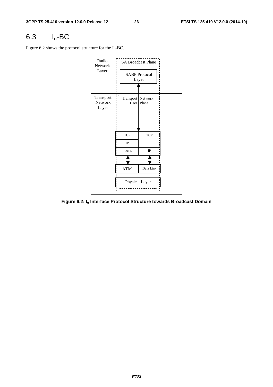# 6.3 Iu-BC

Figure 6.2 shows the protocol structure for the  $I_u$ -BC.



**Figure 6.2: Iu Interface Protocol Structure towards Broadcast Domain**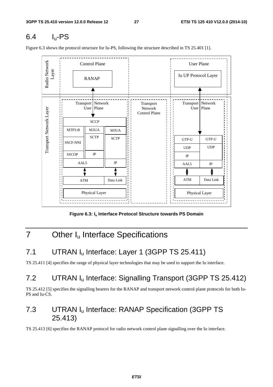# 6.4 Iu-PS

Figure 6.3 shows the protocol structure for Iu-PS, following the structure described in TS 25.401 [1].



Figure 6.3: I<sub>u</sub> Interface Protocol Structure towards PS Domain

# 7 Other I<sub>u</sub> Interface Specifications

# 7.1 UTRAN I<sub>u</sub> Interface: Layer 1 (3GPP TS 25.411)

TS 25.411 [4] specifies the range of physical layer technologies that may be used to support the Iu interface.

# 7.2 UTRAN I<sub>u</sub> Interface: Signalling Transport (3GPP TS 25.412)

TS 25.412 [5] specifies the signalling bearers for the RANAP and transport network control plane protocols for both Iu-PS and Iu-CS.

# 7.3 UTRAN Iu Interface: RANAP Specification (3GPP TS 25.413)

TS 25.413 [6] specifies the RANAP protocol for radio network control plane signalling over the Iu interface.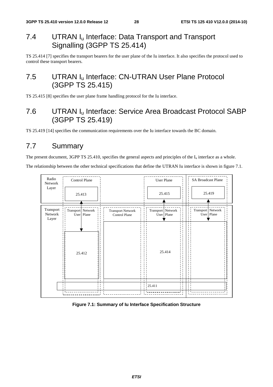# 7.4 UTRAN I<sub>u</sub> Interface: Data Transport and Transport Signalling (3GPP TS 25.414)

TS 25.414 [7] specifies the transport bearers for the user plane of the Iu interface. It also specifies the protocol used to control these transport bearers.

# 7.5 UTRAN I<sub>u</sub> Interface: CN-UTRAN User Plane Protocol (3GPP TS 25.415)

TS 25.415 [8] specifies the user plane frame handling protocol for the Iu interface.

# 7.6 UTRAN Iu Interface: Service Area Broadcast Protocol SABP (3GPP TS 25.419)

TS 25.419 [14] specifies the communication requirements over the Iu interface towards the BC domain.

# 7.7 Summary

The present document, 3GPP TS 25.410, specifies the general aspects and principles of the  $I_u$  interface as a whole.

The relationship between the other technical specifications that define the UTRAN Iu interface is shown in figure 7.1.



**Figure 7.1: Summary of Iu Interface Specification Structure**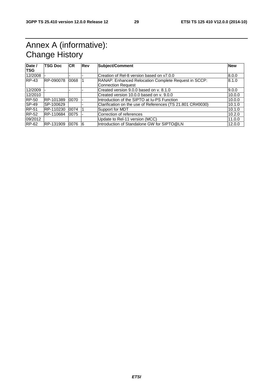# Annex A (informative): Change History

| Date /<br><b>TSG</b> | <b>TSG Doc</b> | <b>ICR</b> | Rev | Subject/Comment                                            | <b>New</b> |
|----------------------|----------------|------------|-----|------------------------------------------------------------|------------|
|                      |                |            |     |                                                            |            |
| 12/2008              |                |            |     | Creation of Rel-8 version based on y7.0.0                  | 8.0.0      |
| <b>RP-43</b>         | RP-090078      | 0068       |     | RANAP: Enhanced Relocation Complete Request in SCCP:       | 8.1.0      |
|                      |                |            |     | Connection Request                                         |            |
| 12/2009              |                |            |     | Created version 9.0.0 based on v. 8.1.0                    | 9.0.0      |
| 12/2010              |                |            |     | Created version 10.0.0 based on y. 9.0.0                   | 10.0.0     |
| <b>RP-50</b>         | RP-101389      | 0070       |     | Introduction of the SIPTO at Iu-PS Function                | 10.0.0     |
| <b>SP-49</b>         | SP-100629      |            |     | Clarification on the use of References (TS 21.801 CR#0030) | 10.1.0     |
| <b>RP-51</b>         | RP-110230      | 0074       |     | Support for MDT                                            | 10.1.0     |
| <b>RP-52</b>         | RP-110684      | 0075       |     | Correction of references                                   | 10.2.0     |
| 09/2012              |                |            |     | Update to Rel-11 version (MCC)                             | 11.0.0     |
| RP-62                | RP-131909      | 0076       | 16  | Introduction of Standalone GW for SIPTO@LN                 | 12.0.0     |